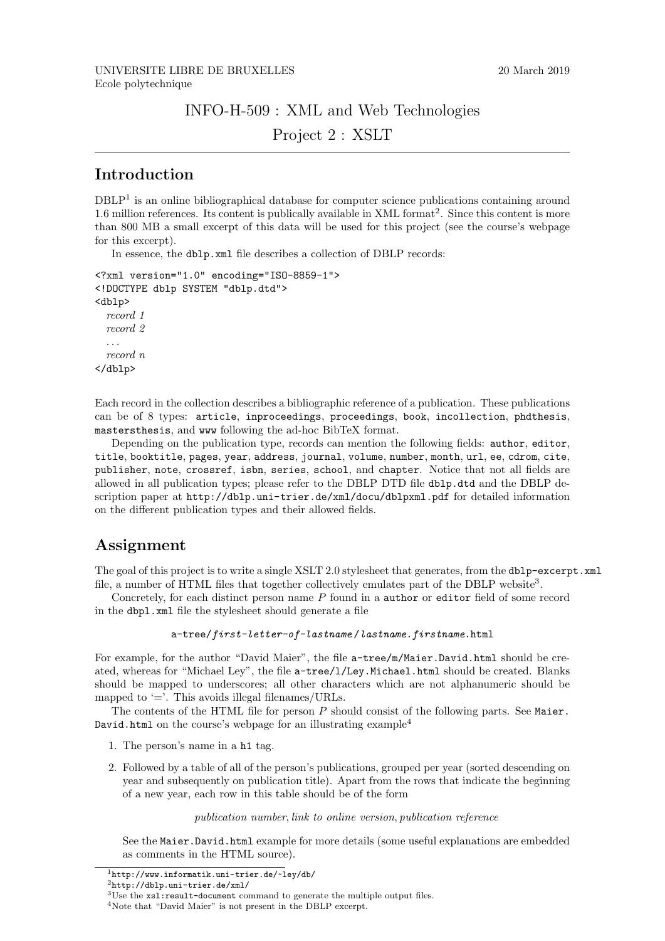### INFO-H-509 : XML and Web Technologies

Project 2 : XSLT

# Introduction

DBLP<sup>1</sup> is an online bibliographical database for computer science publications containing around 1.6 million references. Its content is publically available in XML format<sup>2</sup>. Since this content is more than 800 MB a small excerpt of this data will be used for this project (see the course's webpage for this excerpt).

In essence, the dblp.xml file describes a collection of DBLP records:

```
<?xml version="1.0" encoding="ISO-8859-1">
<!DOCTYPE dblp SYSTEM "dblp.dtd">
<dblp>
  record 1
  record 2
  . . .
  record n
</dblp>
```
Each record in the collection describes a bibliographic reference of a publication. These publications can be of 8 types: article, inproceedings, proceedings, book, incollection, phdthesis, mastersthesis, and www following the ad-hoc BibTeX format.

Depending on the publication type, records can mention the following fields: author, editor, title, booktitle, pages, year, address, journal, volume, number, month, url, ee, cdrom, cite, publisher, note, crossref, isbn, series, school, and chapter. Notice that not all fields are allowed in all publication types; please refer to the DBLP DTD file dblp.dtd and the DBLP description paper at http://dblp.uni-trier.de/xml/docu/dblpxml.pdf for detailed information on the different publication types and their allowed fields.

# Assignment

The goal of this project is to write a single XSLT 2.0 stylesheet that generates, from the dblp-excerpt. xml file, a number of HTML files that together collectively emulates part of the DBLP website<sup>3</sup>.

Concretely, for each distinct person name P found in a author or editor field of some record in the dbpl.xml file the stylesheet should generate a file

```
a-tree/first-letter-of-lastname /lastname.firstname.html
```
For example, for the author "David Maier", the file  $a$ -tree/m/Maier.David.html should be created, whereas for "Michael Ley", the file a-tree/l/Ley.Michael.html should be created. Blanks should be mapped to underscores; all other characters which are not alphanumeric should be mapped to  $\prime =$ . This avoids illegal filenames/URLs.

The contents of the HTML file for person  $P$  should consist of the following parts. See Maier. David.html on the course's webpage for an illustrating example<sup>4</sup>

- 1. The person's name in a h1 tag.
- 2. Followed by a table of all of the person's publications, grouped per year (sorted descending on year and subsequently on publication title). Apart from the rows that indicate the beginning of a new year, each row in this table should be of the form

#### publication number, link to online version, publication reference

See the Maier.David.html example for more details (some useful explanations are embedded as comments in the HTML source).

<sup>1</sup>http://www.informatik.uni-trier.de/~ley/db/

<sup>2</sup>http://dblp.uni-trier.de/xml/

<sup>3</sup>Use the xsl:result-document command to generate the multiple output files.

<sup>4</sup>Note that "David Maier" is not present in the DBLP excerpt.